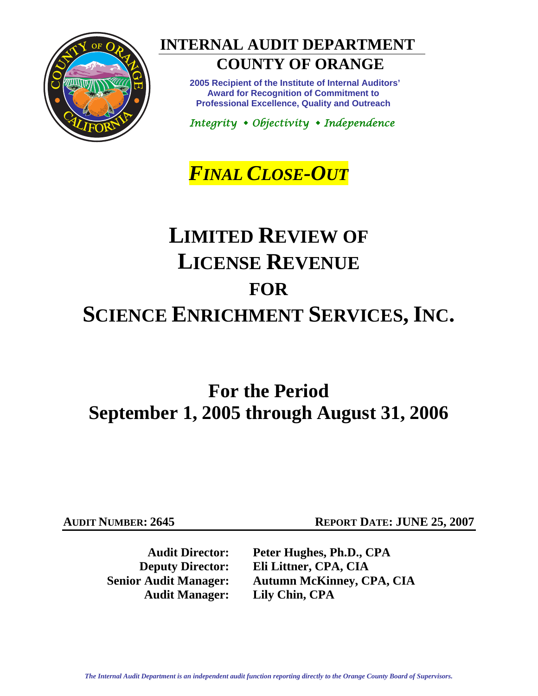

# **INTERNAL AUDIT DEPARTMENT**

## **COUNTY OF ORANGE**

 **2005 Recipient of the Institute of Internal Auditors' Award for Recognition of Commitment to Professional Excellence, Quality and Outreach** 

*Integrity Objectivity Independence*

# *FINAL CLOSE-OUT*

# **LIMITED REVIEW OF LICENSE REVENUE FOR SCIENCE ENRICHMENT SERVICES, INC.**

# **For the Period September 1, 2005 through August 31, 2006**

**Audit Manager: Lily Chin, CPA** 

**AUDIT NUMBER: 2645 REPORT DATE: JUNE 25, 2007** 

**Audit Director: Peter Hughes, Ph.D., CPA Deputy Director: Eli Littner, CPA, CIA Senior Audit Manager: Autumn McKinney, CPA, CIA**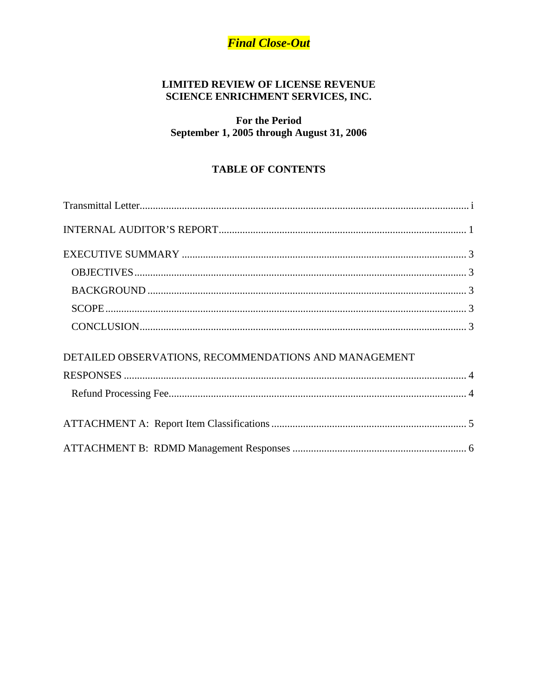## **Final Close-Out**

## **LIMITED REVIEW OF LICENSE REVENUE** SCIENCE ENRICHMENT SERVICES, INC.

**For the Period** September 1, 2005 through August 31, 2006

## **TABLE OF CONTENTS**

| DETAILED OBSERVATIONS, RECOMMENDATIONS AND MANAGEMENT |  |
|-------------------------------------------------------|--|
|                                                       |  |
|                                                       |  |
|                                                       |  |
|                                                       |  |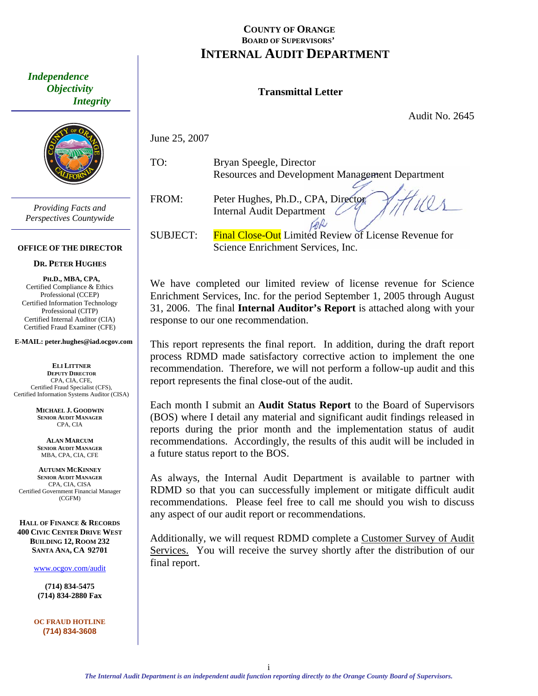## **COUNTY OF ORANGE BOARD OF SUPERVISORS' INTERNAL AUDIT DEPARTMENT**

## **Transmittal Letter**

Audit No. 2645

June 25, 2007

TO: Bryan Speegle, Director Resources and Development Management Department

FROM: Peter Hughes, Ph.D., CPA, Director Internal Audit Department

SUBJECT: Final Close-Out Limited Review of License Revenue for Science Enrichment Services, Inc.

CAR

We have completed our limited review of license revenue for Science Enrichment Services, Inc. for the period September 1, 2005 through August 31, 2006. The final **Internal Auditor's Report** is attached along with your response to our one recommendation.

This report represents the final report. In addition, during the draft report process RDMD made satisfactory corrective action to implement the one recommendation. Therefore, we will not perform a follow-up audit and this report represents the final close-out of the audit.

Each month I submit an **Audit Status Report** to the Board of Supervisors (BOS) where I detail any material and significant audit findings released in reports during the prior month and the implementation status of audit recommendations. Accordingly, the results of this audit will be included in a future status report to the BOS.

As always, the Internal Audit Department is available to partner with RDMD so that you can successfully implement or mitigate difficult audit recommendations. Please feel free to call me should you wish to discuss any aspect of our audit report or recommendations.

Additionally, we will request RDMD complete a Customer Survey of Audit Services. You will receive the survey shortly after the distribution of our final report.

<span id="page-2-0"></span> *Independence Objectivity Integrity* 



*Providing Facts and Perspectives Countywide* 

#### **OFFICE OF THE DIRECTOR**

## **DR. PETER HU GHES**

**PH.D., MBA, CPA,**  Certified Compliance & Ethics Professional (CCEP) Certified Information Technology Professional (CITP) Certified Internal Auditor (CIA) Certified Fraud Examiner (CFE)

**E-MAIL: peter.hughes@iad.ocgov.com** 

**ELI LITTNER DEPUTY DIRECTOR** CPA, CIA, CFE, Certified Fraud Specialist (CFS), Certified Information Systems Auditor (CISA)

> **MICHAEL J. GOODWIN SENIOR AUDIT MANAGER** CPA, CIA

**ALAN MARCUM SENIOR AUDIT MANAGER** MBA, CPA, CIA, CFE

**AUTUMN MCKINNEY SENIOR AUDIT MANAGER** CPA, CIA, CISA Certified Government Financial Manager (CGFM)

**HALL OF FINANCE & RECORDS 400 CIVIC CENTER DRIVE WEST BUILDING 12, ROOM 232 SANTA ANA, CA 92701** 

www.ocgov.com/audit

**(714) 834-5475 (714) 834-2880 Fax** 

**OC FRAUD HOTLINE (714) 834-3608**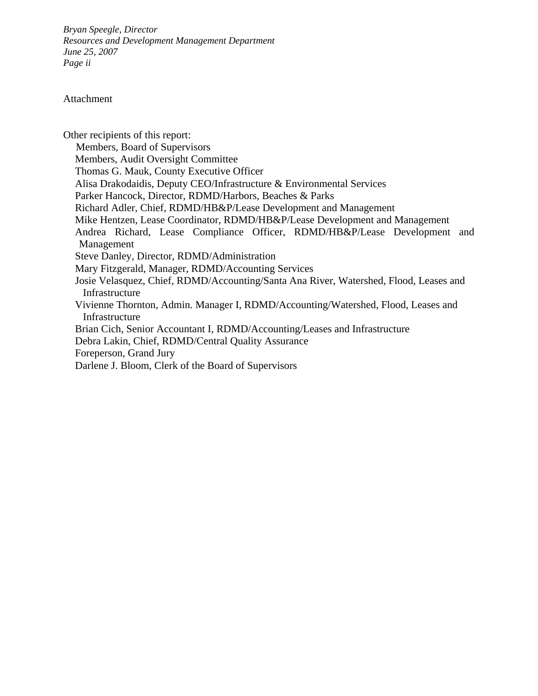*Bryan Speegle, Director Resources and Development Management Department June 25, 2007 Page ii* 

### Attachment

Other recipients of this report: Members, Board of Supervisors Members, Audit Oversight Committee Thomas G. Mauk, County Executive Officer Alisa Drakodaidis, Deputy CEO/Infrastructure & Environmental Services Parker Hancock, Director, RDMD/Harbors, Beaches & Parks Richard Adler, Chief, RDMD/HB&P/Lease Development and Management Mike Hentzen, Lease Coordinator, RDMD/HB&P/Lease Development and Management Andrea Richard, Lease Compliance Officer, RDMD/HB&P/Lease Development and Management Steve Danley, Director, RDMD/Administration Mary Fitzgerald, Manager, RDMD/Accounting Services Josie Velasquez, Chief, RDMD/Accounting/Santa Ana River, Watershed, Flood, Leases and Infrastructure Vivienne Thornton, Admin. Manager I, RDMD/Accounting/Watershed, Flood, Leases and Infrastructure Brian Cich, Senior Accountant I, RDMD/Accounting/Leases and Infrastructure Debra Lakin, Chief, RDMD/Central Quality Assurance Foreperson, Grand Jury Darlene J. Bloom, Clerk of the Board of Supervisors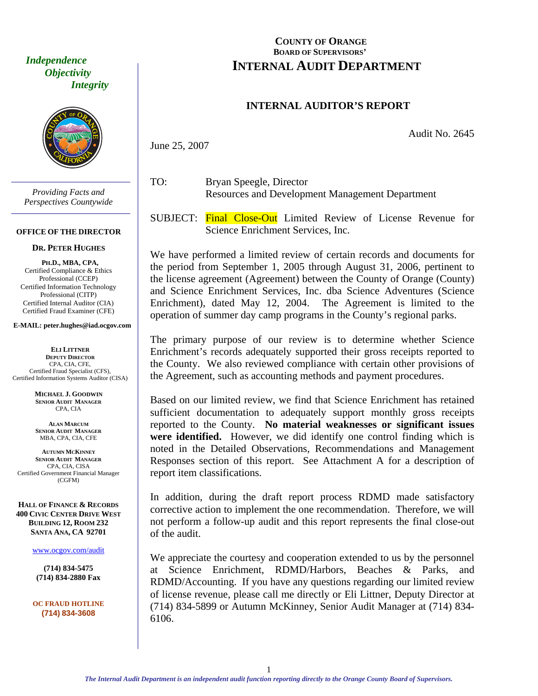<span id="page-4-0"></span> *Independence Objectivity Integrity* 



*Providing Facts and Perspectives Countywide* 

#### **OFFICE OF THE DIRECTOR**

#### **DR. PETER HUGHES**

**PH.D., MBA, CPA,**  Certified Compliance & Ethics Professional (CCEP) Certified Information Technology Professional (CITP) Certified Internal Auditor (CIA) Certified Fraud Examiner (CFE)

#### **E-MAIL: peter.hughes@iad.ocgov.com**

**ELI LITTNER DEPUTY DIRECTOR** CPA, CIA, CFE, Certified Fraud Specialist (CFS), Certified Information Systems Auditor (CISA)

> **MICHAEL J. GOODWIN SENIOR AUDIT MANAGER** CPA, CIA

**ALAN MARCUM SENIOR AUDIT MANAGER** MBA, CPA, CIA, CFE

**AUTUMN MCKINNEY SENIOR AUDIT MANAGER** CPA, CIA, CISA Certified Government Financial Manager (CGFM)

**HALL OF FINANCE & RECORDS 400 CIVIC CENTER DRIVE WEST BUILDING 12, ROOM 232 SANTA ANA, CA 92701** 

www.ocgov.com/audit

**(714) 834-5475 (714) 834-2880 Fax** 

**OC FRAUD HOTLINE (714) 834-3608** 

## **COUNTY OF ORANGE BOARD OF SUPERVISORS' INTERNAL AUDIT DEPARTMENT**

## **INTERNAL AUDITOR'S REPORT**

Audit No. 2645

June 25, 2007

- TO: Bryan Speegle, Director Resources and Development Management Department
- SUBJECT: Final Close-Out Limited Review of License Revenue for Science Enrichment Services, Inc.

We have performed a limited review of certain records and documents for the period from September 1, 2005 through August 31, 2006, pertinent to the license agreement (Agreement) between the County of Orange (County) and Science Enrichment Services, Inc. dba Science Adventures (Science Enrichment), dated May 12, 2004. The Agreement is limited to the operation of summer day camp programs in the County's regional parks.

The primary purpose of our review is to determine whether Science Enrichment's records adequately supported their gross receipts reported to the County. We also reviewed compliance with certain other provisions of the Agreement, such as accounting methods and payment procedures.

Based on our limited review, we find that Science Enrichment has retained sufficient documentation to adequately support monthly gross receipts reported to the County. **No material weaknesses or significant issues were identified.** However, we did identify one control finding which is noted in the Detailed Observations, Recommendations and Management Responses section of this report. See Attachment A for a description of report item classifications.

In addition, during the draft report process RDMD made satisfactory corrective action to implement the one recommendation. Therefore, we will not perform a follow-up audit and this report represents the final close-out of the audit.

We appreciate the courtesy and cooperation extended to us by the personnel at Science Enrichment, RDMD/Harbors, Beaches & Parks, and RDMD/Accounting. If you have any questions regarding our limited review of license revenue, please call me directly or Eli Littner, Deputy Director at (714) 834-5899 or Autumn McKinney, Senior Audit Manager at (714) 834- 6106.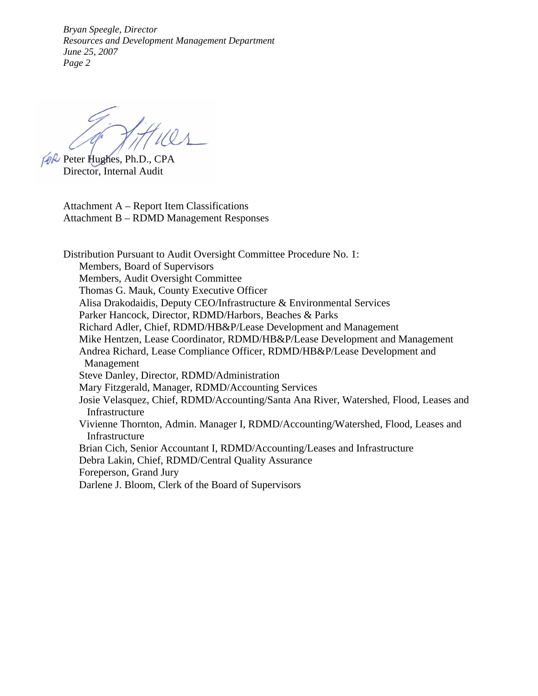*Bryan Speegle, Director Resources and Development Management Department June 25, 2007 Page 2* 

 $Pek$  Peter Hughes, Ph.D., CPA Director, Internal Audit

Attachment A – Report Item Classifications Attachment B – RDMD Management Responses

Distribution Pursuant to Audit Oversight Committee Procedure No. 1: Members, Board of Supervisors Members, Audit Oversight Committee Thomas G. Mauk, County Executive Officer Alisa Drakodaidis, Deputy CEO/Infrastructure & Environmental Services Parker Hancock, Director, RDMD/Harbors, Beaches & Parks Richard Adler, Chief, RDMD/HB&P/Lease Development and Management Mike Hentzen, Lease Coordinator, RDMD/HB&P/Lease Development and Management Andrea Richard, Lease Compliance Officer, RDMD/HB&P/Lease Development and Management Steve Danley, Director, RDMD/Administration Mary Fitzgerald, Manager, RDMD/Accounting Services Josie Velasquez, Chief, RDMD/Accounting/Santa Ana River, Watershed, Flood, Leases and Infrastructure Vivienne Thornton, Admin. Manager I, RDMD/Accounting/Watershed, Flood, Leases and Infrastructure Brian Cich, Senior Accountant I, RDMD/Accounting/Leases and Infrastructure Debra Lakin, Chief, RDMD/Central Quality Assurance Foreperson, Grand Jury Darlene J. Bloom, Clerk of the Board of Supervisors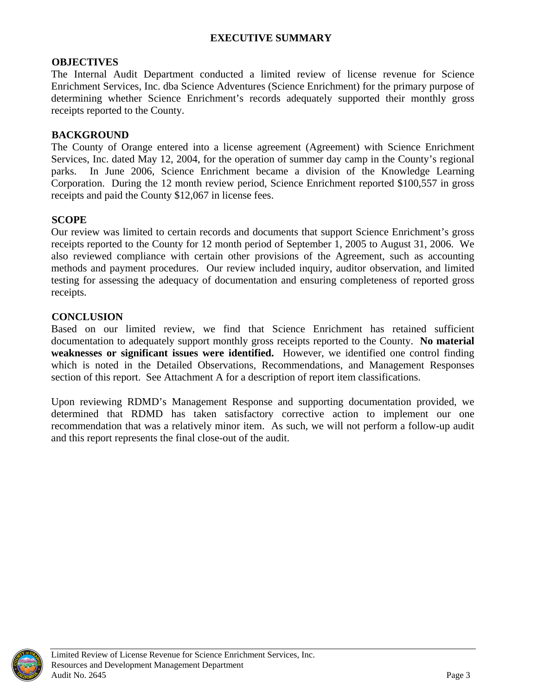## **EXECUTIVE SUMMARY**

## <span id="page-6-0"></span>**OBJECTIVES**

The Internal Audit Department conducted a limited review of license revenue for Science Enrichment Services, Inc. dba Science Adventures (Science Enrichment) for the primary purpose of determining whether Science Enrichment's records adequately supported their monthly gross receipts reported to the County.

## **BACKGROUND**

The County of Orange entered into a license agreement (Agreement) with Science Enrichment Services, Inc. dated May 12, 2004, for the operation of summer day camp in the County's regional parks. In June 2006, Science Enrichment became a division of the Knowledge Learning Corporation. During the 12 month review period, Science Enrichment reported \$100,557 in gross receipts and paid the County \$12,067 in license fees.

## **SCOPE**

Our review was limited to certain records and documents that support Science Enrichment's gross receipts reported to the County for 12 month period of September 1, 2005 to August 31, 2006. We also reviewed compliance with certain other provisions of the Agreement, such as accounting methods and payment procedures. Our review included inquiry, auditor observation, and limited testing for assessing the adequacy of documentation and ensuring completeness of reported gross receipts.

## **CONCLUSION**

Based on our limited review, we find that Science Enrichment has retained sufficient documentation to adequately support monthly gross receipts reported to the County. **No material weaknesses or significant issues were identified.** However, we identified one control finding which is noted in the Detailed Observations, Recommendations, and Management Responses section of this report. See Attachment A for a description of report item classifications.

Upon reviewing RDMD's Management Response and supporting documentation provided, we determined that RDMD has taken satisfactory corrective action to implement our one recommendation that was a relatively minor item. As such, we will not perform a follow-up audit and this report represents the final close-out of the audit.

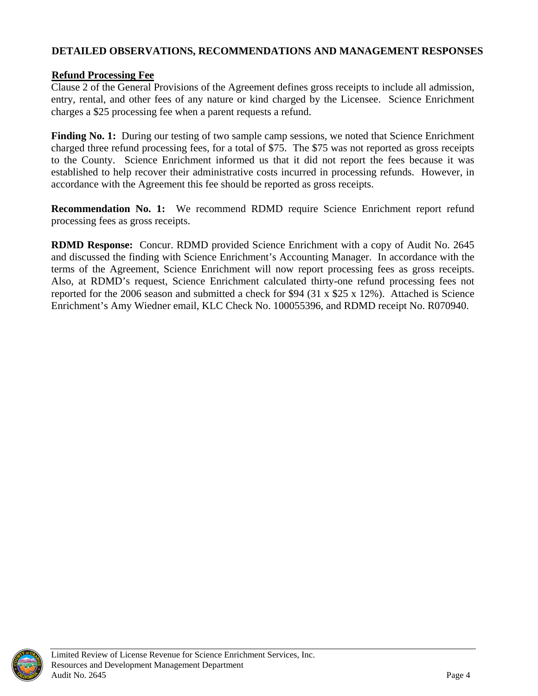## <span id="page-7-0"></span>**DETAILED OBSERVATIONS, RECOMMENDATIONS AND MANAGEMENT RESPONSES**

## **Refund Processing Fee**

Clause 2 of the General Provisions of the Agreement defines gross receipts to include all admission, entry, rental, and other fees of any nature or kind charged by the Licensee. Science Enrichment charges a \$25 processing fee when a parent requests a refund.

**Finding No. 1:** During our testing of two sample camp sessions, we noted that Science Enrichment charged three refund processing fees, for a total of \$75. The \$75 was not reported as gross receipts to the County. Science Enrichment informed us that it did not report the fees because it was established to help recover their administrative costs incurred in processing refunds. However, in accordance with the Agreement this fee should be reported as gross receipts.

**Recommendation No. 1:** We recommend RDMD require Science Enrichment report refund processing fees as gross receipts.

**RDMD Response:** Concur. RDMD provided Science Enrichment with a copy of Audit No. 2645 and discussed the finding with Science Enrichment's Accounting Manager. In accordance with the terms of the Agreement, Science Enrichment will now report processing fees as gross receipts. Also, at RDMD's request, Science Enrichment calculated thirty-one refund processing fees not reported for the 2006 season and submitted a check for \$94 (31 x \$25 x 12%). Attached is Science Enrichment's Amy Wiedner email, KLC Check No. 100055396, and RDMD receipt No. R070940.

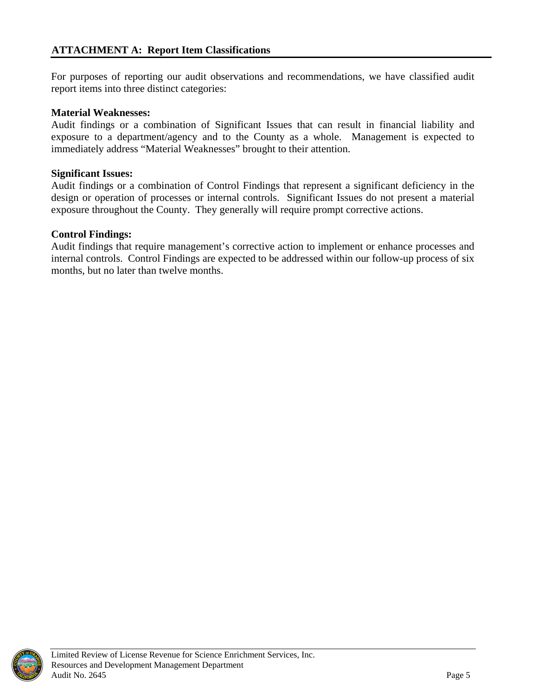<span id="page-8-0"></span>For purposes of reporting our audit observations and recommendations, we have classified audit report items into three distinct categories:

## **Material Weaknesses:**

Audit findings or a combination of Significant Issues that can result in financial liability and exposure to a department/agency and to the County as a whole. Management is expected to immediately address "Material Weaknesses" brought to their attention.

### **Significant Issues:**

Audit findings or a combination of Control Findings that represent a significant deficiency in the design or operation of processes or internal controls. Significant Issues do not present a material exposure throughout the County. They generally will require prompt corrective actions.

## **Control Findings:**

Audit findings that require management's corrective action to implement or enhance processes and internal controls.Control Findings are expected to be addressed within our follow-up process of six months, but no later than twelve months.

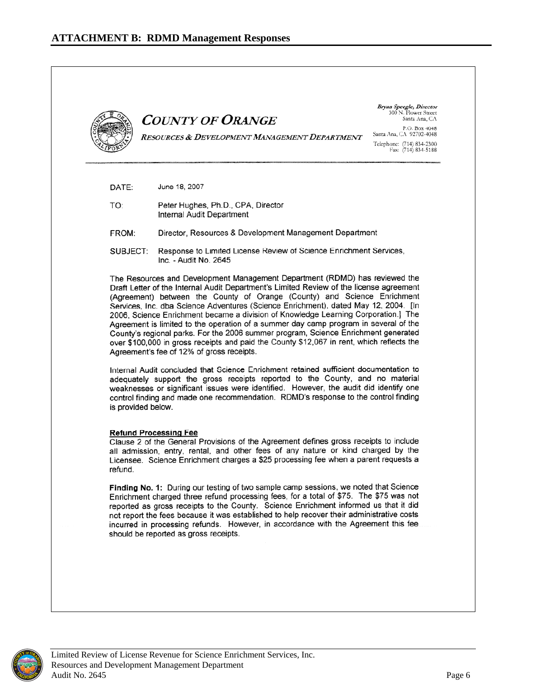<span id="page-9-0"></span>

|                    | <b>COUNTY OF ORANGE</b><br>RESOURCES & DEVELOPMENT MANAGEMENT DEPARTMENT                                                                                                                                                                                                                                                                                                                                                                                                                                                                                                                                                                                                                                                                                                                                                                                                                                                                | Bryan Speegle, Director<br>300 N. Flower Street<br>Santa Ana, CA<br>P.O. Box 4048<br>Santa Ana, CA 92702-4048<br>Telephone: (714) 834-2300<br>Fax: $(714)$ 834-5188 |
|--------------------|-----------------------------------------------------------------------------------------------------------------------------------------------------------------------------------------------------------------------------------------------------------------------------------------------------------------------------------------------------------------------------------------------------------------------------------------------------------------------------------------------------------------------------------------------------------------------------------------------------------------------------------------------------------------------------------------------------------------------------------------------------------------------------------------------------------------------------------------------------------------------------------------------------------------------------------------|---------------------------------------------------------------------------------------------------------------------------------------------------------------------|
| DATE:              | June 18, 2007                                                                                                                                                                                                                                                                                                                                                                                                                                                                                                                                                                                                                                                                                                                                                                                                                                                                                                                           |                                                                                                                                                                     |
| TO:                | Peter Hughes, Ph.D., CPA, Director<br>Internal Audit Department                                                                                                                                                                                                                                                                                                                                                                                                                                                                                                                                                                                                                                                                                                                                                                                                                                                                         |                                                                                                                                                                     |
| FROM:              | Director, Resources & Development Management Department                                                                                                                                                                                                                                                                                                                                                                                                                                                                                                                                                                                                                                                                                                                                                                                                                                                                                 |                                                                                                                                                                     |
| SUBJECT:           | Response to Limited License Review of Science Enrichment Services,<br>Inc. - Audit No. 2645                                                                                                                                                                                                                                                                                                                                                                                                                                                                                                                                                                                                                                                                                                                                                                                                                                             |                                                                                                                                                                     |
| is provided below. | (Agreement) between the County of Orange (County) and Science Enrichment<br>Services, Inc. dba Science Adventures (Science Enrichment), dated May 12, 2004. [In<br>2006, Science Enrichment became a division of Knowledge Learning Corporation.] The<br>Agreement is limited to the operation of a summer day camp program in several of the<br>County's regional parks. For the 2006 summer program, Science Enrichment generated<br>over \$100,000 in gross receipts and paid the County \$12,067 in rent, which reflects the<br>Agreement's fee of 12% of gross receipts.<br>Internal Audit concluded that Science Enrichment retained sufficient documentation to<br>adequately support the gross receipts reported to the County, and no material<br>weaknesses or significant issues were identified. However, the audit did identify one<br>control finding and made one recommendation. RDMD's response to the control finding |                                                                                                                                                                     |
| refund.            | <b>Refund Processing Fee</b><br>Clause 2 of the General Provisions of the Agreement defines gross receipts to include<br>all admission, entry, rental, and other fees of any nature or kind charged by the<br>Licensee. Science Enrichment charges a \$25 processing fee when a parent requests a                                                                                                                                                                                                                                                                                                                                                                                                                                                                                                                                                                                                                                       |                                                                                                                                                                     |
|                    | Finding No. 1: During our testing of two sample camp sessions, we noted that Science<br>Enrichment charged three refund processing fees, for a total of \$75. The \$75 was not<br>reported as gross receipts to the County. Science Enrichment informed us that it did<br>not report the fees because it was established to help recover their administrative costs                                                                                                                                                                                                                                                                                                                                                                                                                                                                                                                                                                     |                                                                                                                                                                     |

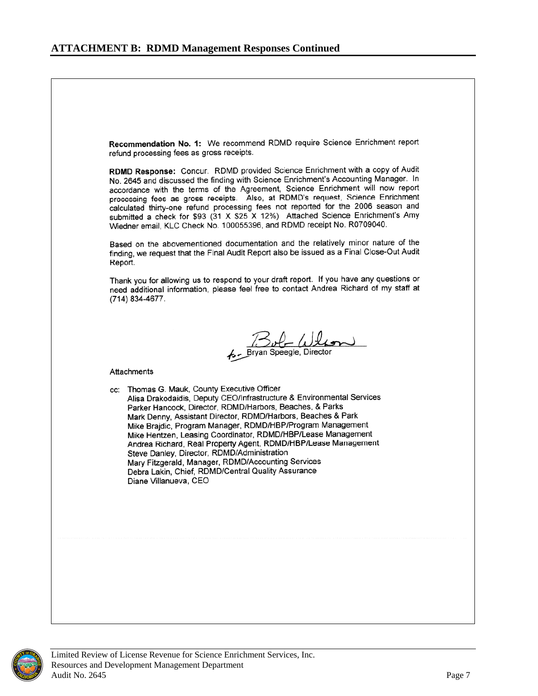Recommendation No. 1: We recommend RDMD require Science Enrichment report refund processing fees as gross receipts.

RDMD Response: Concur. RDMD provided Science Enrichment with a copy of Audit No. 2645 and discussed the finding with Science Enrichment's Accounting Manager. In accordance with the terms of the Agreement, Science Enrichment will now report processing fees as gross receipts. Also, at RDMD's request, Science Enrichment calculated thirty-one refund processing fees not reported for the 2006 season and submitted a check for \$93 (31 X \$25 X 12%) Attached Science Enrichment's Amy Wiedner email, KLC Check No. 100055396, and RDMD receipt No. R0709040.

Based on the abovementioned documentation and the relatively minor nature of the finding, we request that the Final Audit Report also be issued as a Final Close-Out Audit Report.

Thank you for allowing us to respond to your draft report. If you have any questions or need additional information, please feel free to contact Andrea Richard of my staff at (714) 834-4677.

But Will

Attachments

cc: Thomas G. Mauk, County Executive Officer Alisa Drakodaidis, Deputy CEO/Infrastructure & Environmental Services Parker Hancock, Director, RDMD/Harbors, Beaches, & Parks Mark Denny, Assistant Director, RDMD/Harbors, Beaches & Park Mike Brajdic, Program Manager, RDMD/HBP/Program Management Mike Hentzen, Leasing Coordinator, RDMD/HBP/Lease Management Andrea Richard, Real Property Agent, RDMD/HBP/Lease Management Steve Danley, Director, RDMD/Administration Mary Fitzgerald, Manager, RDMD/Accounting Services Debra Lakin, Chief, RDMD/Central Quality Assurance Diane Villanueva, CEO



Limited Review of License Revenue for Science Enrichment Services, Inc. Resources and Development Management Department Audit No. 2645 Page 7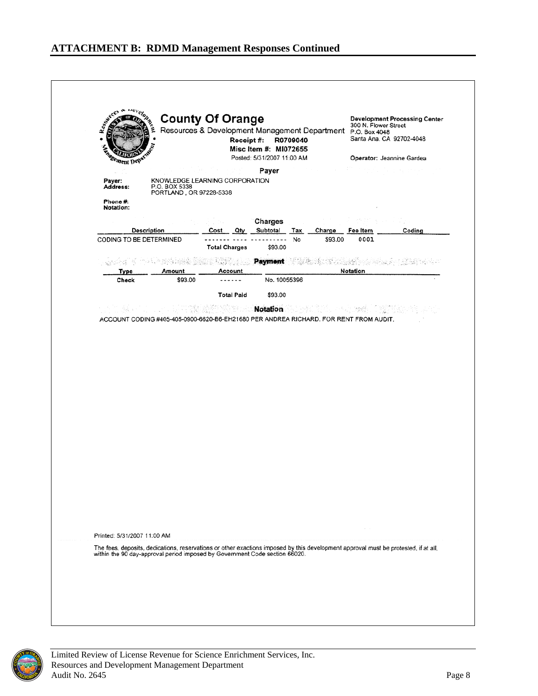



Limited Review of License Revenue for Science Enrichment Services, Inc. Resources and Development Management Department Audit No. 2645 Page 8